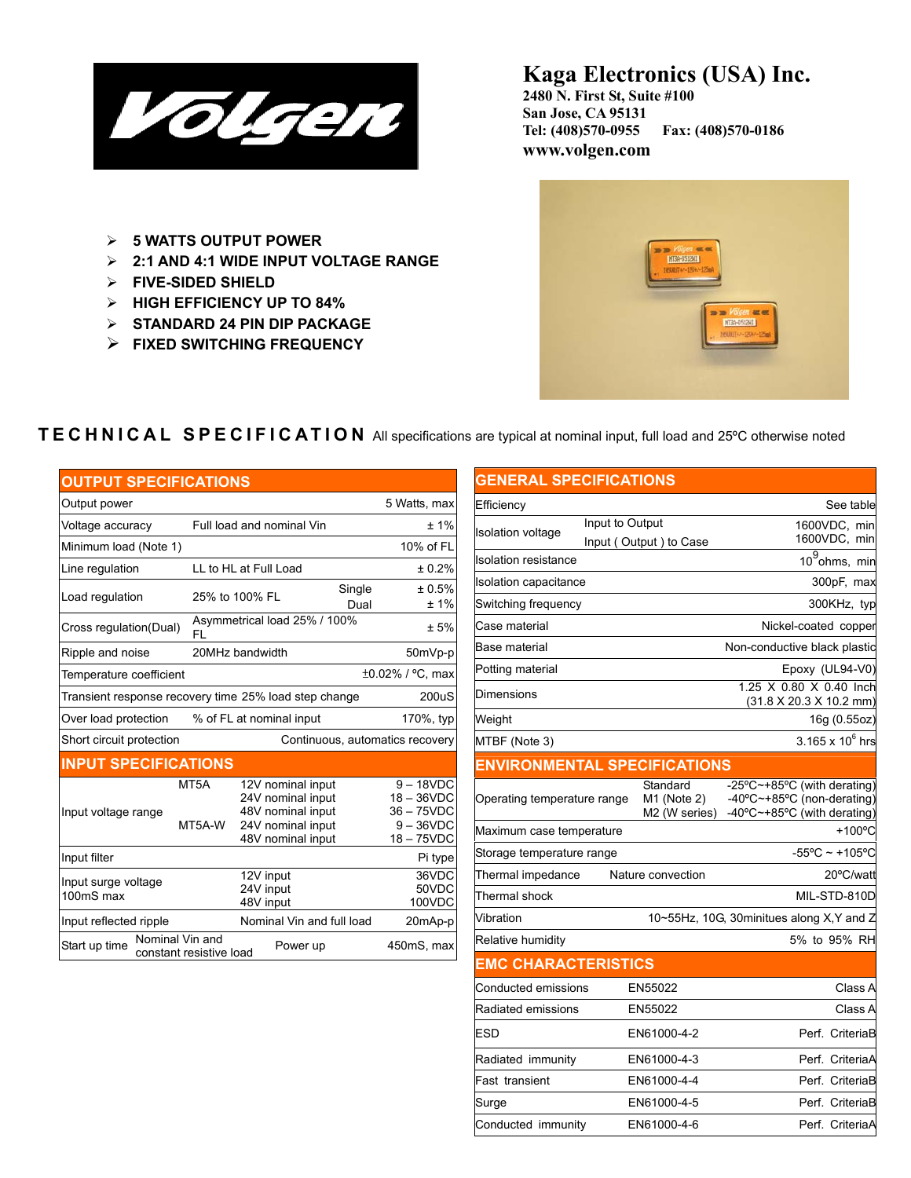

## **Kaga Electronics (USA) Inc.**

**2480 N. First St, Suite #100 San Jose, CA 95131 Tel: (408)570-0955 Fax: (408)570-0186 www.volgen.com**

- ¾ **5 WATTS OUTPUT POWER**
- ¾ **2:1 AND 4:1 WIDE INPUT VOLTAGE RANGE**
- ¾ **FIVE-SIDED SHIELD**
- ¾ **HIGH EFFICIENCY UP TO 84%**
- ¾ **STANDARD 24 PIN DIP PACKAGE**
- ¾ **FIXED SWITCHING FREQUENCY**



#### l **TECHNICAL SPECIFICATION** All specifications are typical at nominal input, full load and 25ºC otherwise noted

| <b>OUTPUT SPECIFICATIONS</b>                                |                                                                |                                                                                                       |  |                                                                            |  |  |
|-------------------------------------------------------------|----------------------------------------------------------------|-------------------------------------------------------------------------------------------------------|--|----------------------------------------------------------------------------|--|--|
| Output power                                                |                                                                |                                                                                                       |  | 5 Watts, max                                                               |  |  |
| Voltage accuracy                                            |                                                                | Full load and nominal Vin                                                                             |  |                                                                            |  |  |
| Minimum load (Note 1)                                       |                                                                |                                                                                                       |  | 10% of FL                                                                  |  |  |
| Line regulation                                             |                                                                | LL to HL at Full Load                                                                                 |  |                                                                            |  |  |
| Load regulation                                             |                                                                | Single<br>25% to 100% FL<br>Dual                                                                      |  | ± 0.5%<br>±1%                                                              |  |  |
| Cross regulation(Dual)                                      | FL                                                             | Asymmetrical load 25% / 100%                                                                          |  |                                                                            |  |  |
| Ripple and noise                                            |                                                                | 20MHz bandwidth                                                                                       |  |                                                                            |  |  |
| Temperature coefficient                                     |                                                                |                                                                                                       |  | ±0.02% / °C, max                                                           |  |  |
|                                                             | Transient response recovery time 25% load step change<br>200uS |                                                                                                       |  |                                                                            |  |  |
| Over load protection                                        |                                                                | % of FL at nominal input                                                                              |  | 170%, typ                                                                  |  |  |
| Short circuit protection<br>Continuous, automatics recovery |                                                                |                                                                                                       |  |                                                                            |  |  |
| <b>INPUT SPECIFICATIONS</b>                                 |                                                                |                                                                                                       |  |                                                                            |  |  |
| Input voltage range                                         | MT <sub>5</sub> A<br>MT5A-W                                    | 12V nominal input<br>24V nominal input<br>48V nominal input<br>24V nominal input<br>48V nominal input |  | $9 - 18$ VDC<br>$18 - 36$ VDC<br>36-75VDC<br>$9 - 36$ VDC<br>$18 - 75$ VDC |  |  |
| Input filter                                                |                                                                |                                                                                                       |  | Pi type                                                                    |  |  |
| Input surge voltage<br>100mS max                            |                                                                | 12V input<br>24V input<br>48V input                                                                   |  | 36VDC<br>50VDC<br>100VDC                                                   |  |  |
| Input reflected ripple                                      |                                                                | Nominal Vin and full load                                                                             |  | 20mAp-p                                                                    |  |  |
| Nominal Vin and<br>Start up time                            | constant resistive load                                        | Power up                                                                                              |  | 450mS, max                                                                 |  |  |

# **GENERAL SPECIFICATIONS**

| Efficiency                          |                 |                                          |                                                                                          | See table                |
|-------------------------------------|-----------------|------------------------------------------|------------------------------------------------------------------------------------------|--------------------------|
| <b>Isolation voltage</b>            | Input to Output |                                          |                                                                                          | 1600VDC, min             |
|                                     |                 | Input (Output) to Case                   |                                                                                          | 1600VDC, min             |
| Isolation resistance                |                 |                                          |                                                                                          | $10^9$ ohms, min         |
| Isolation capacitance               |                 |                                          |                                                                                          | 300pF, max               |
| Switching frequency                 |                 |                                          |                                                                                          | 300KHz, typ              |
| Case material                       |                 |                                          | Nickel-coated copper                                                                     |                          |
| Base material                       |                 |                                          | Non-conductive black plastic                                                             |                          |
| Potting material                    |                 |                                          |                                                                                          | Epoxy (UL94-V0)          |
| Dimensions                          |                 |                                          | 1.25 X 0.80 X 0.40 Inch<br>(31.8 X 20.3 X 10.2 mm)                                       |                          |
| Weight                              |                 |                                          |                                                                                          | 16g (0.55oz)             |
| MTBF (Note 3)                       |                 |                                          |                                                                                          | 3.165 x $10^6$ hrs       |
| <b>ENVIRONMENTAL SPECIFICATIONS</b> |                 |                                          |                                                                                          |                          |
| Operating temperature range         |                 | Standard<br>M1 (Note 2)<br>M2 (W series) | -25°C~+85°C (with derating)<br>-40°C~+85°C (non-derating)<br>-40°C~+85°C (with derating) |                          |
| Maximum case temperature            |                 |                                          |                                                                                          | $+100^{\circ}$ C         |
| Storage temperature range           |                 |                                          |                                                                                          | $-55^{\circ}$ C ~ +105°C |
| Thermal impedance                   |                 | Nature convection                        |                                                                                          | 20°C/watt                |
| Thermal shock                       |                 |                                          |                                                                                          | MIL-STD-810D             |
| Vibration                           |                 |                                          | 10~55Hz, 10G, 30minitues along X, Y and Z                                                |                          |
| Relative humidity                   |                 |                                          |                                                                                          | 5% to 95% RH             |
| <u>EMC CHARACTERISTICS</u>          |                 |                                          |                                                                                          |                          |
| Conducted emissions                 |                 | EN55022                                  |                                                                                          | Class A                  |
| Radiated emissions                  |                 | EN55022                                  |                                                                                          | Class A                  |
| ESD                                 |                 | EN61000-4-2                              |                                                                                          | Perf. CriteriaB          |
| Radiated immunity                   |                 | EN61000-4-3                              |                                                                                          | Perf. CriteriaA          |
| Fast transient                      |                 | EN61000-4-4                              |                                                                                          | Perf. CriteriaB          |
| Surge                               |                 | EN61000-4-5                              |                                                                                          | Perf. CriteriaB          |
| Conducted immunity                  |                 | EN61000-4-6                              |                                                                                          | Perf. CriteriaA          |